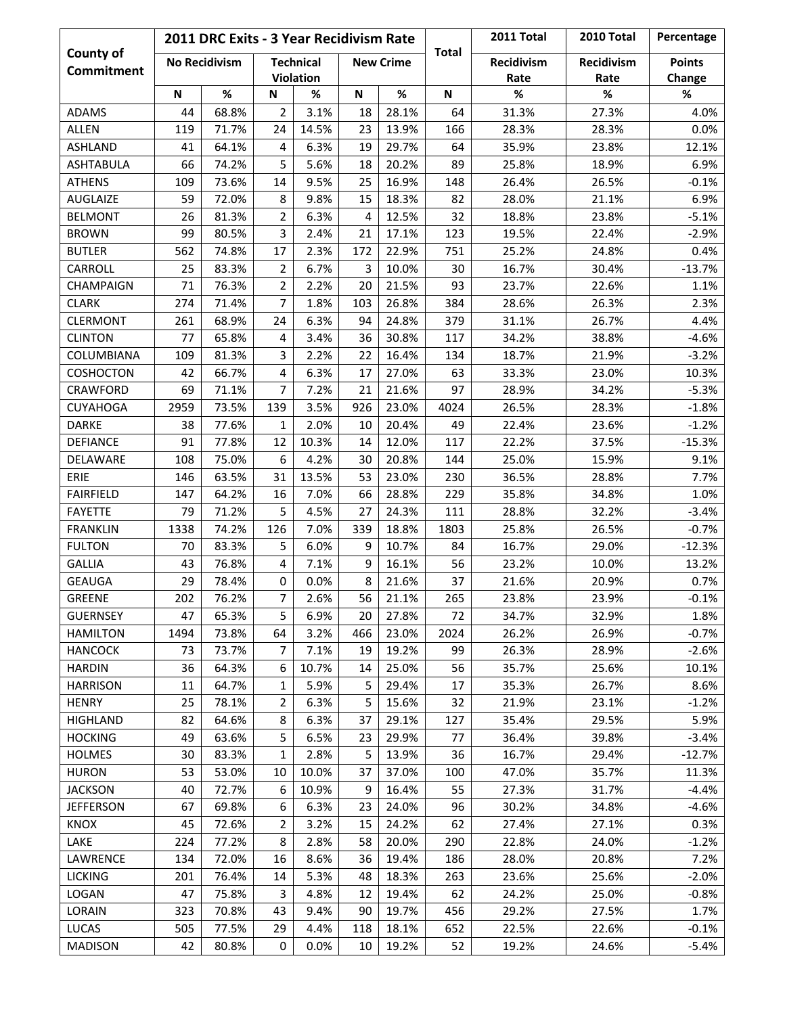| <b>County of</b><br><b>Commitment</b> | 2011 DRC Exits - 3 Year Recidivism Rate |                      |                  |       |                  |       |              | 2011 Total | 2010 Total | Percentage    |
|---------------------------------------|-----------------------------------------|----------------------|------------------|-------|------------------|-------|--------------|------------|------------|---------------|
|                                       |                                         | <b>No Recidivism</b> | <b>Technical</b> |       | <b>New Crime</b> |       | <b>Total</b> | Recidivism | Recidivism | <b>Points</b> |
|                                       |                                         |                      | <b>Violation</b> |       |                  |       |              | Rate       | Rate       | Change        |
|                                       | N                                       | $\%$                 | N                | %     | N                | $\%$  | N            | $\%$       | %          | %             |
| <b>ADAMS</b>                          | 44                                      | 68.8%                | $\overline{2}$   | 3.1%  | 18               | 28.1% | 64           | 31.3%      | 27.3%      | 4.0%          |
| ALLEN                                 | 119                                     | 71.7%                | 24               | 14.5% | 23               | 13.9% | 166          | 28.3%      | 28.3%      | 0.0%          |
| <b>ASHLAND</b>                        | 41                                      | 64.1%                | 4                | 6.3%  | 19               | 29.7% | 64           | 35.9%      | 23.8%      | 12.1%         |
| <b>ASHTABULA</b>                      | 66                                      | 74.2%                | 5                | 5.6%  | 18               | 20.2% | 89           | 25.8%      | 18.9%      | 6.9%          |
| <b>ATHENS</b>                         | 109                                     | 73.6%                | 14               | 9.5%  | 25               | 16.9% | 148          | 26.4%      | 26.5%      | $-0.1%$       |
| AUGLAIZE                              | 59                                      | 72.0%                | 8                | 9.8%  | 15               | 18.3% | 82           | 28.0%      | 21.1%      | 6.9%          |
| <b>BELMONT</b>                        | 26                                      | 81.3%                | $\overline{2}$   | 6.3%  | 4                | 12.5% | 32           | 18.8%      | 23.8%      | $-5.1%$       |
| <b>BROWN</b>                          | 99                                      | 80.5%                | 3                | 2.4%  | 21               | 17.1% | 123          | 19.5%      | 22.4%      | $-2.9%$       |
| <b>BUTLER</b>                         | 562                                     | 74.8%                | 17               | 2.3%  | 172              | 22.9% | 751          | 25.2%      | 24.8%      | 0.4%          |
| CARROLL                               | 25                                      | 83.3%                | $\overline{2}$   | 6.7%  | 3                | 10.0% | 30           | 16.7%      | 30.4%      | $-13.7%$      |
| <b>CHAMPAIGN</b>                      | 71                                      | 76.3%                | $\overline{2}$   | 2.2%  | 20               | 21.5% | 93           | 23.7%      | 22.6%      | 1.1%          |
| <b>CLARK</b>                          | 274                                     | 71.4%                | $\overline{7}$   | 1.8%  | 103              | 26.8% | 384          | 28.6%      | 26.3%      | 2.3%          |
| <b>CLERMONT</b>                       | 261                                     | 68.9%                | 24               | 6.3%  | 94               | 24.8% | 379          | 31.1%      | 26.7%      | 4.4%          |
| <b>CLINTON</b>                        | 77                                      | 65.8%                | 4                | 3.4%  | 36               | 30.8% | 117          | 34.2%      | 38.8%      | $-4.6%$       |
| COLUMBIANA                            | 109                                     | 81.3%                | 3                | 2.2%  | 22               | 16.4% | 134          | 18.7%      | 21.9%      | $-3.2%$       |
| <b>COSHOCTON</b>                      | 42                                      | 66.7%                | 4                | 6.3%  | 17               | 27.0% | 63           | 33.3%      | 23.0%      | 10.3%         |
| <b>CRAWFORD</b>                       | 69                                      | 71.1%                | $\overline{7}$   | 7.2%  | 21               | 21.6% | 97           | 28.9%      | 34.2%      | $-5.3%$       |
| <b>CUYAHOGA</b>                       | 2959                                    | 73.5%                | 139              | 3.5%  | 926              | 23.0% | 4024         | 26.5%      | 28.3%      | $-1.8%$       |
| <b>DARKE</b>                          | 38                                      | 77.6%                | $\mathbf{1}$     | 2.0%  | 10               | 20.4% | 49           | 22.4%      | 23.6%      | $-1.2%$       |
| <b>DEFIANCE</b>                       | 91                                      | 77.8%                | 12               | 10.3% | 14               | 12.0% | 117          | 22.2%      | 37.5%      | $-15.3%$      |
| DELAWARE                              | 108                                     | 75.0%                | 6                | 4.2%  | 30               | 20.8% | 144          | 25.0%      | 15.9%      | 9.1%          |
| ERIE                                  | 146                                     | 63.5%                | 31               | 13.5% | 53               | 23.0% | 230          | 36.5%      | 28.8%      | 7.7%          |
| <b>FAIRFIELD</b>                      | 147                                     | 64.2%                | 16               | 7.0%  | 66               | 28.8% | 229          | 35.8%      | 34.8%      | 1.0%          |
| <b>FAYETTE</b>                        | 79                                      | 71.2%                | 5                | 4.5%  | 27               | 24.3% | 111          | 28.8%      | 32.2%      | $-3.4%$       |
| <b>FRANKLIN</b>                       | 1338                                    | 74.2%                | 126              | 7.0%  | 339              | 18.8% | 1803         | 25.8%      | 26.5%      | $-0.7%$       |
| <b>FULTON</b>                         | 70                                      | 83.3%                | 5                | 6.0%  | 9                | 10.7% | 84           | 16.7%      | 29.0%      | $-12.3%$      |
| <b>GALLIA</b>                         | 43                                      | 76.8%                | 4                | 7.1%  | 9                | 16.1% | 56           | 23.2%      | 10.0%      | 13.2%         |
| <b>GEAUGA</b>                         | 29                                      | 78.4%                | 0                | 0.0%  | 8                | 21.6% | 37           | 21.6%      | 20.9%      | 0.7%          |
| <b>GREENE</b>                         | 202                                     | 76.2%                | $\overline{7}$   | 2.6%  | 56               | 21.1% | 265          | 23.8%      | 23.9%      | $-0.1%$       |
| <b>GUERNSEY</b>                       | 47                                      | 65.3%                | 5                | 6.9%  | 20               | 27.8% | 72           | 34.7%      | 32.9%      | 1.8%          |
| <b>HAMILTON</b>                       | 1494                                    | 73.8%                | 64               | 3.2%  | 466              | 23.0% | 2024         | 26.2%      | 26.9%      | $-0.7%$       |
| <b>HANCOCK</b>                        | 73                                      | 73.7%                | 7                | 7.1%  | 19               | 19.2% | 99           | 26.3%      | 28.9%      | $-2.6%$       |
| <b>HARDIN</b>                         | 36                                      | 64.3%                | 6                | 10.7% | 14               | 25.0% | 56           | 35.7%      | 25.6%      | 10.1%         |
| <b>HARRISON</b>                       | 11                                      | 64.7%                | 1                | 5.9%  | 5                | 29.4% | 17           | 35.3%      | 26.7%      | 8.6%          |
| <b>HENRY</b>                          | 25                                      | 78.1%                | $\overline{2}$   | 6.3%  | 5                | 15.6% | 32           | 21.9%      | 23.1%      | $-1.2%$       |
| <b>HIGHLAND</b>                       | 82                                      | 64.6%                | 8                | 6.3%  | 37               | 29.1% | 127          | 35.4%      | 29.5%      | 5.9%          |
| <b>HOCKING</b>                        | 49                                      | 63.6%                | 5                | 6.5%  | 23               | 29.9% | 77           | 36.4%      | 39.8%      | $-3.4%$       |
| <b>HOLMES</b>                         | 30                                      | 83.3%                | $\mathbf{1}$     | 2.8%  | 5                | 13.9% | 36           | 16.7%      | 29.4%      | $-12.7%$      |
| <b>HURON</b>                          | 53                                      | 53.0%                | 10               | 10.0% | 37               | 37.0% | 100          | 47.0%      | 35.7%      | 11.3%         |
| <b>JACKSON</b>                        | 40                                      | 72.7%                | 6                | 10.9% | 9                | 16.4% | 55           | 27.3%      | 31.7%      | $-4.4%$       |
| <b>JEFFERSON</b>                      | 67                                      | 69.8%                | 6                | 6.3%  | 23               | 24.0% | 96           | 30.2%      | 34.8%      | $-4.6%$       |
| <b>KNOX</b>                           | 45                                      | 72.6%                | $\overline{2}$   | 3.2%  | 15               | 24.2% | 62           | 27.4%      | 27.1%      | 0.3%          |
| LAKE                                  | 224                                     | 77.2%                | 8                | 2.8%  | 58               | 20.0% | 290          | 22.8%      | 24.0%      | $-1.2%$       |
| LAWRENCE                              | 134                                     | 72.0%                | 16               | 8.6%  | 36               | 19.4% | 186          | 28.0%      | 20.8%      | 7.2%          |
| <b>LICKING</b>                        | 201                                     | 76.4%                | 14               | 5.3%  | 48               | 18.3% | 263          | 23.6%      | 25.6%      | $-2.0%$       |
| LOGAN                                 | 47                                      | 75.8%                | 3                | 4.8%  | 12               | 19.4% | 62           | 24.2%      | 25.0%      | $-0.8%$       |
| LORAIN                                | 323                                     | 70.8%                | 43               | 9.4%  | 90               | 19.7% | 456          | 29.2%      | 27.5%      | 1.7%          |
| LUCAS                                 | 505                                     | 77.5%                | 29               | 4.4%  | 118              | 18.1% | 652          | 22.5%      | 22.6%      | $-0.1%$       |
| <b>MADISON</b>                        | 42                                      | 80.8%                | 0                | 0.0%  | 10               | 19.2% | 52           | 19.2%      | 24.6%      | -5.4%         |